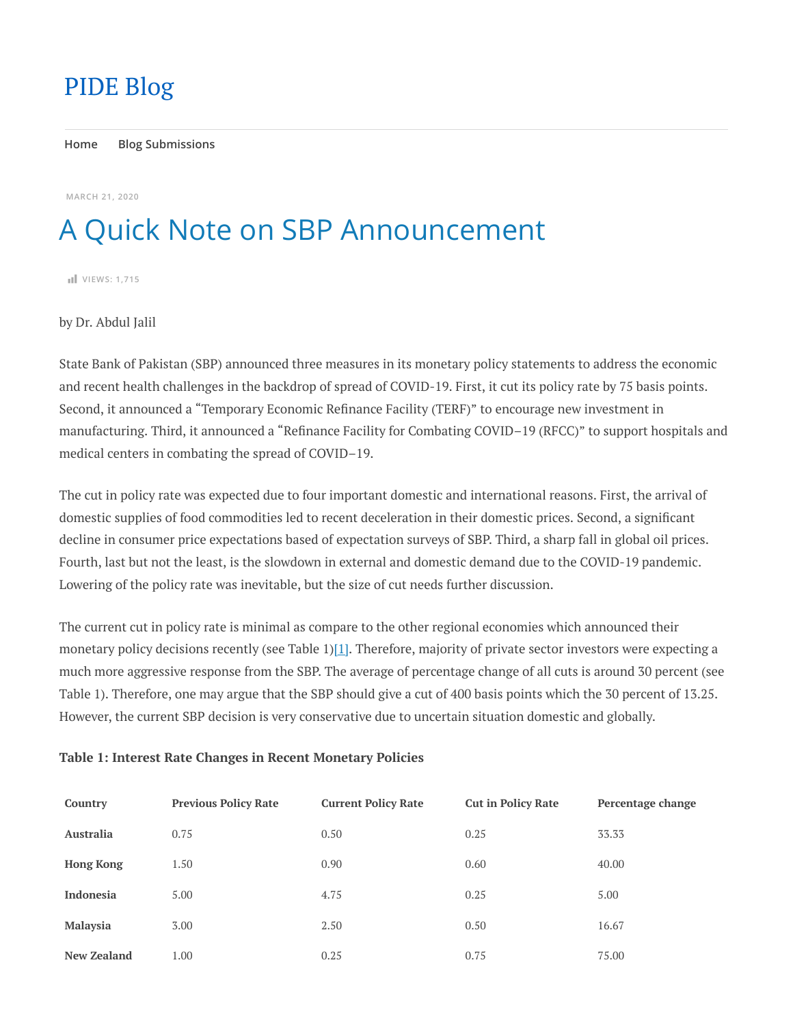## [PIDE](https://pide.org.pk/blog/) Blog

**[Home](https://pide.org.pk/blog/) [Blog Submissions](https://pide.org.pk/blog/submissions/)**

**[MARCH](https://pide.org.pk/blog/a-quick-note-on-sbp-announcement/) 21, 2020**

## A Quick Note on SBP Announcement

**VIEWS: 1,715**

by Dr. Abdul Jalil

State Bank of Pakistan (SBP) announced three measures in its monetary policy statements to address the economic and recent health challenges in the backdrop of spread of COVID-19. First, it cut its policy rate by 75 basis points. Second, it announced a "Temporary Economic Refinance Facility (TERF)" to encourage new investment in manufacturing. Third, it announced a "Refinance Facility for Combating COVID–19 (RFCC)" to support hospitals and medical centers in combating the spread of COVID–19.

The cut in policy rate was expected due to four important domestic and international reasons. First, the arrival of domestic supplies of food commodities led to recent deceleration in their domestic prices. Second, a signicant decline in consumer price expectations based of expectation surveys of SBP. Third, a sharp fall in global oil prices. Fourth, last but not the least, is the slowdown in external and domestic demand due to the COVID-19 pandemic. Lowering of the policy rate was inevitable, but the size of cut needs further discussion.

The current cut in policy rate is minimal as compare to the other regional economies which announced their monetary policy decisions recently (see Table 1)[1]. Therefore, majority of private sector investors were expecting a much more aggressive response from the SBP. The average of percentage change of all cuts is around 30 percent (see Table 1). Therefore, one may argue that the SBP should give a cut of 400 basis points which the 30 percent of 13.25. However, the current SBP decision is very conservative due to uncertain situation domestic and globally.

## **Table 1: Interest Rate Changes in Recent Monetary Policies**

| Country            | <b>Previous Policy Rate</b> | <b>Current Policy Rate</b> | <b>Cut in Policy Rate</b> | Percentage change |
|--------------------|-----------------------------|----------------------------|---------------------------|-------------------|
| <b>Australia</b>   | 0.75                        | 0.50                       | 0.25                      | 33.33             |
| <b>Hong Kong</b>   | 1.50                        | 0.90                       | 0.60                      | 40.00             |
| <b>Indonesia</b>   | 5.00                        | 4.75                       | 0.25                      | 5.00              |
| <b>Malaysia</b>    | 3.00                        | 2.50                       | 0.50                      | 16.67             |
| <b>New Zealand</b> | 1.00                        | 0.25                       | 0.75                      | 75.00             |